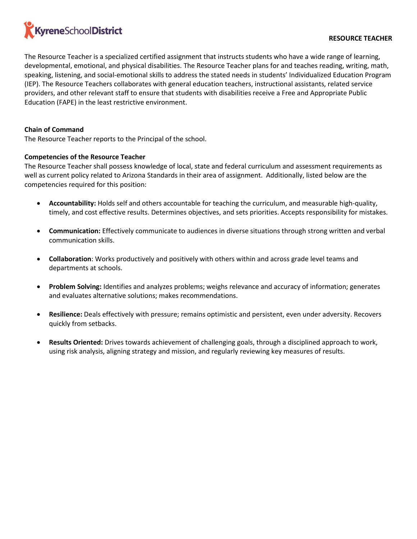

The Resource Teacher is a specialized certified assignment that instructs students who have a wide range of learning, developmental, emotional, and physical disabilities. The Resource Teacher plans for and teaches reading, writing, math, speaking, listening, and social-emotional skills to address the stated needs in students' Individualized Education Program (IEP). The Resource Teachers collaborates with general education teachers, instructional assistants, related service providers, and other relevant staff to ensure that students with disabilities receive a Free and Appropriate Public Education (FAPE) in the least restrictive environment.

## **Chain of Command**

The Resource Teacher reports to the Principal of the school.

## **Competencies of the Resource Teacher**

The Resource Teacher shall possess knowledge of local, state and federal curriculum and assessment requirements as well as current policy related to Arizona Standards in their area of assignment. Additionally, listed below are the competencies required for this position:

- **Accountability:** Holds self and others accountable for teaching the curriculum, and measurable high-quality, timely, and cost effective results. Determines objectives, and sets priorities. Accepts responsibility for mistakes.
- **Communication:** Effectively communicate to audiences in diverse situations through strong written and verbal communication skills.
- **Collaboration**: Works productively and positively with others within and across grade level teams and departments at schools.
- **Problem Solving:** Identifies and analyzes problems; weighs relevance and accuracy of information; generates and evaluates alternative solutions; makes recommendations.
- **Resilience:** Deals effectively with pressure; remains optimistic and persistent, even under adversity. Recovers quickly from setbacks.
- **Results Oriented:** Drives towards achievement of challenging goals, through a disciplined approach to work, using risk analysis, aligning strategy and mission, and regularly reviewing key measures of results.